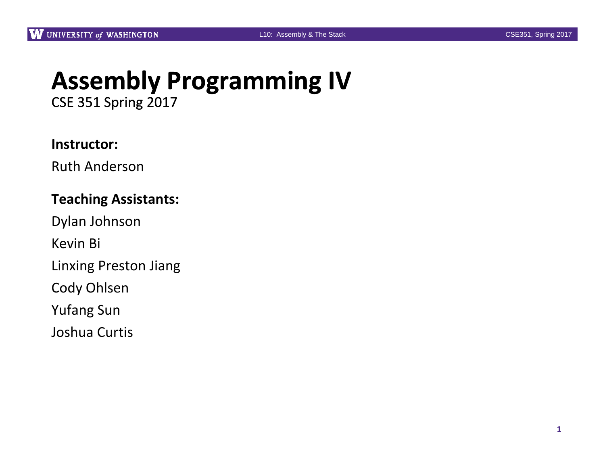# **Assembly Programming IV**

CSE 351 Spring 2017

#### **Instructor:**

Ruth Anderson

#### **Teaching Assistants:**

Dylan Johnson

Kevin Bi

Linxing Preston Jiang

Cody Ohlsen

Yufang Sun

Joshua Curtis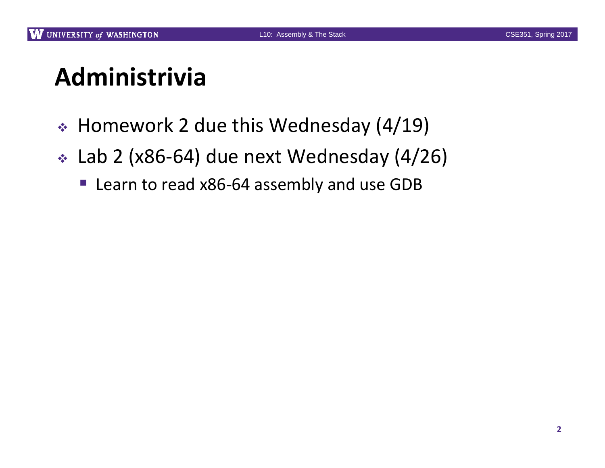# **Administrivia**

- Homework 2 due this Wednesday (4/19)
- Lab 2 (x86‐64) due next Wednesday (4/26)
	- Learn to read x86-64 assembly and use GDB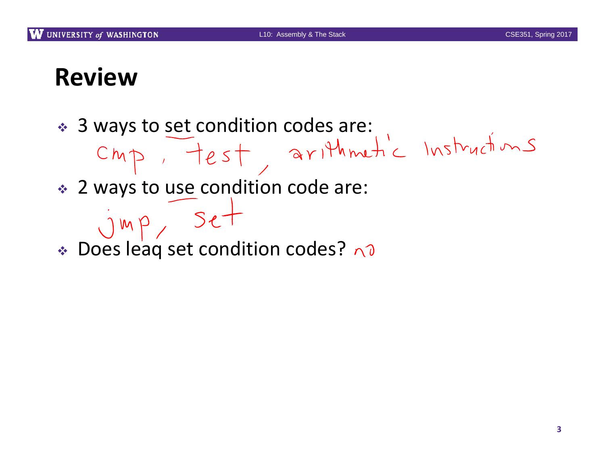#### **Review**

- 3 ways to set condition codes are:
- 

- 2 ways to use condition code are:
- $jmp, 5e+$ Does leaq set condition codes?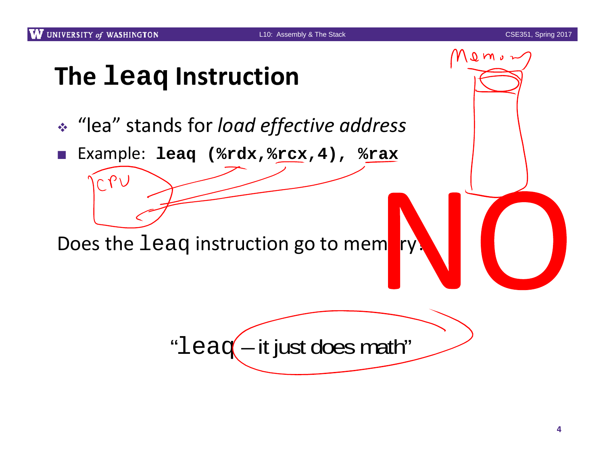$0 \, \text{m/s}$ 

## **The leaq Instruction**

- "lea" stands for *load effective address*
- $\mathcal{C}^{\mathcal{A}}$ Example: **leaq (%rdx,%rcx,4), %rax**

Does the <code>leaq</code> instruction go to mem<mark>ory?</mark>

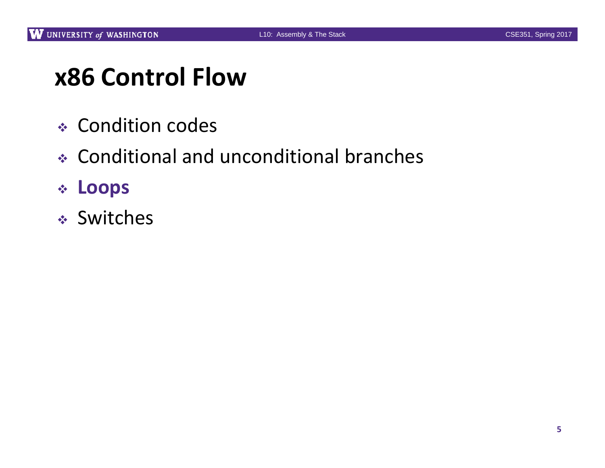### **x86 Control Flow**

- Condition codes
- Conditional and unconditional branches
- **Loops**
- Switches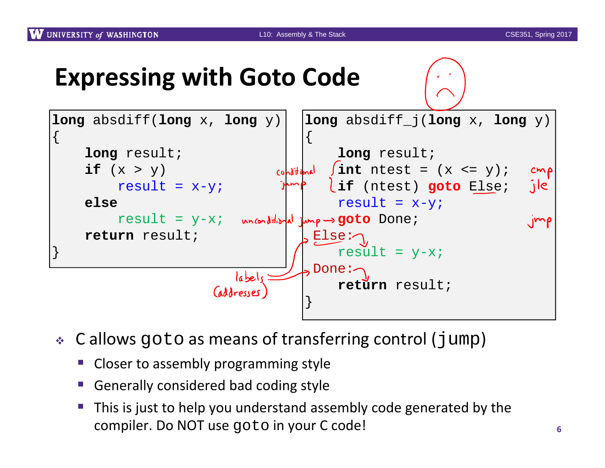#### **Expressing with Goto Code**



- $\bullet$  C allows goto as means of transferring control (jump)
	- **• Closer to assembly programming style**
	- e<br>Se Generally considered bad coding style
	- This is just to help you understand assembly code generated by the compiler. Do NOT use goto in your C code! **<sup>6</sup>**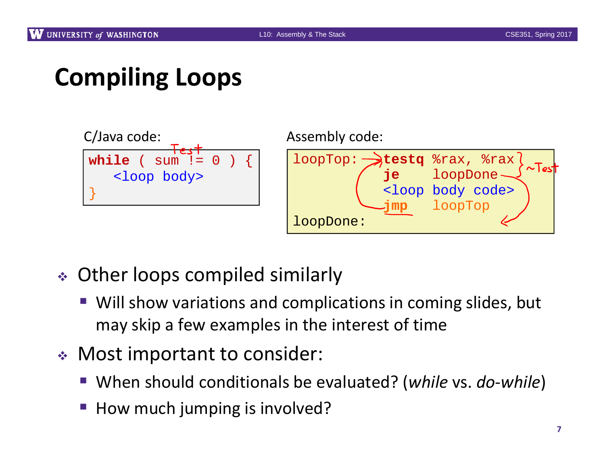# **Compiling Loops**



Assembly code:

loopTop: **testq** %rax, %rax **je** loopDone <loop body code> **jmp** loopTop loopDone:

- Other loops compiled similarly
	- Will show variations and complications in coming slides, but may skip <sup>a</sup> few examples in the interest of time
- Most important to consider:
	- When should conditionals be evaluated? (*while* vs. *do-while*)
	- p. ■ How much jumping is involved?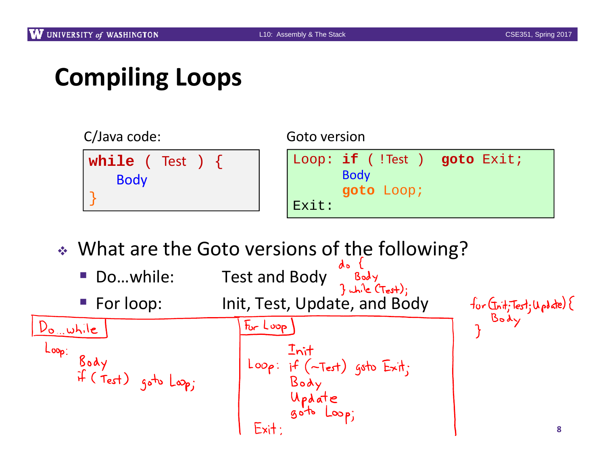# **Compiling Loops**



What are the Goto versions of the following?

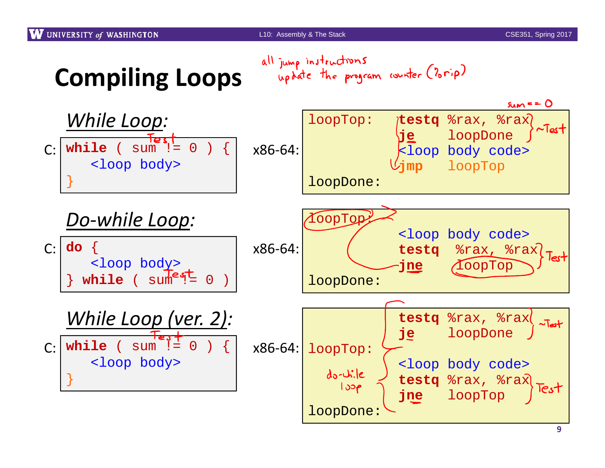



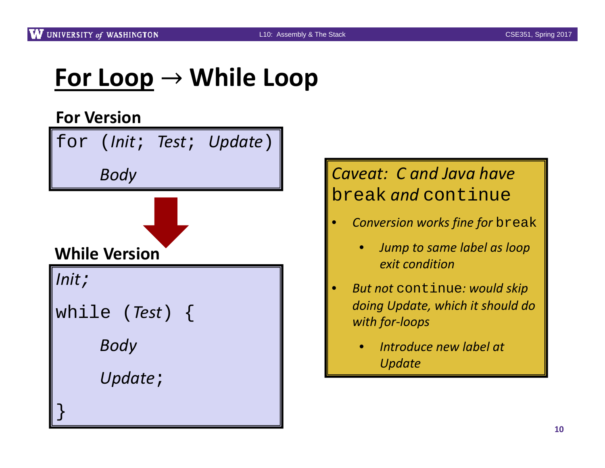# **For Loop While Loop**

#### **For Version**





- • *Conversion works fine for* break
	- $\bullet$  *Jump to same label as loop exit condition*
- • *But not* continue*: would skip doing Update, which it should do with for‐loops*
	- • *Introduce new label at Update*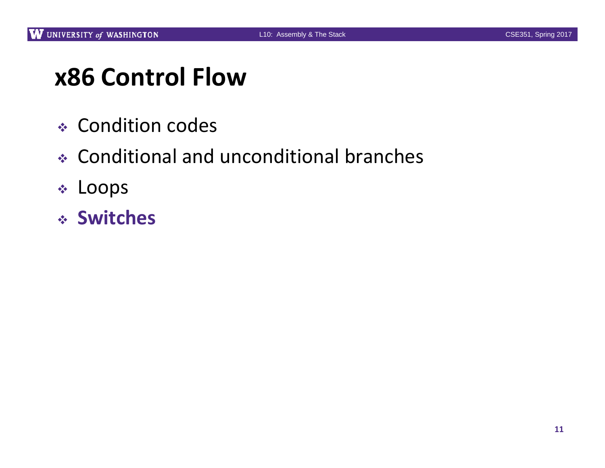## **x86 Control Flow**

- Condition codes
- Conditional and unconditional branches
- Loops
- **Switches**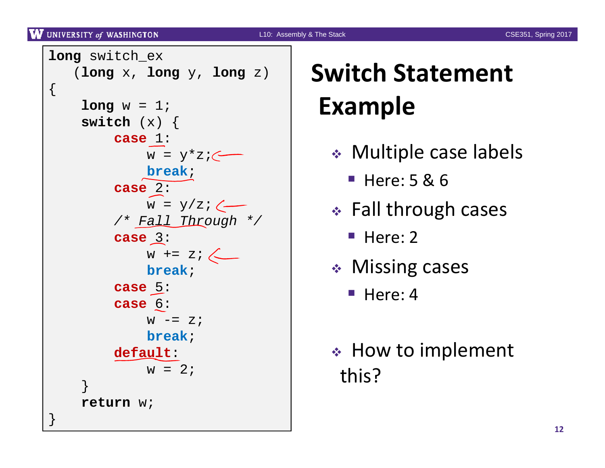UNIVERSITY of WASHINGTON

L10: Assembly & The Stack CSE351, Spring 2017

```
long switch_ex
   (long x, long y, long z)
{
    long w = 1;switch (x) {
         case 1:
              w = y \cdot z; \longleftarrowbreak;
         case 2:
              w = y/z; \leftarrow/* Fall Through */
         case 3:
              w += z;
              break;case 5:
         case 6:
              W = Zbreak;default:
              w = 2;}
     return w;
}
```
# **Switch Statement Example**

- Multiple case labels
	- Here: 5 & 6
- Fall through cases
	- Here: 2
- Missing cases
	- $\blacksquare$  Here: 4
- How to implement this?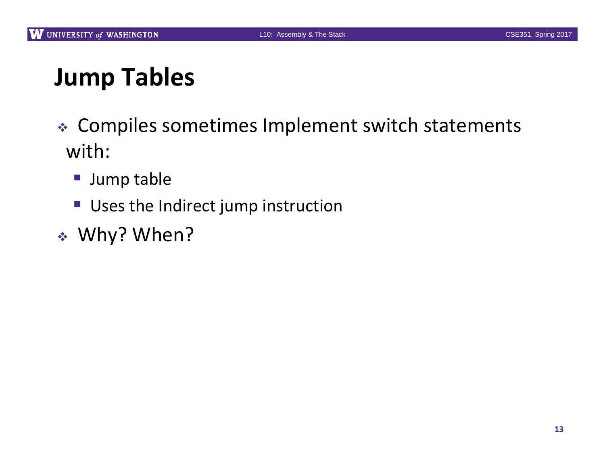# **Jump Tables**

- Compiles sometimes Implement switch statements with:
	- **Jump table**
	- Uses the Indirect jump instruction
- Why? When?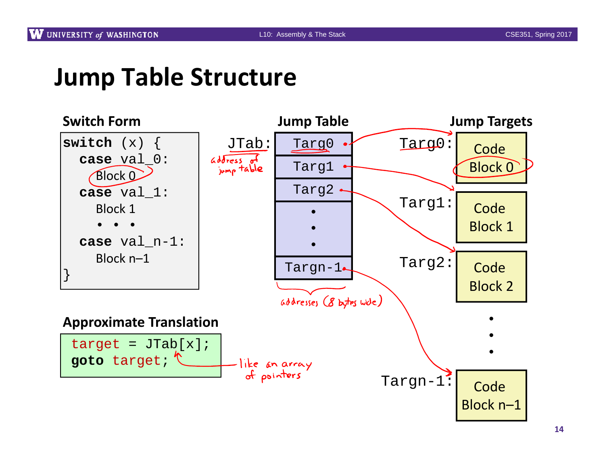#### **Jump Table Structure**

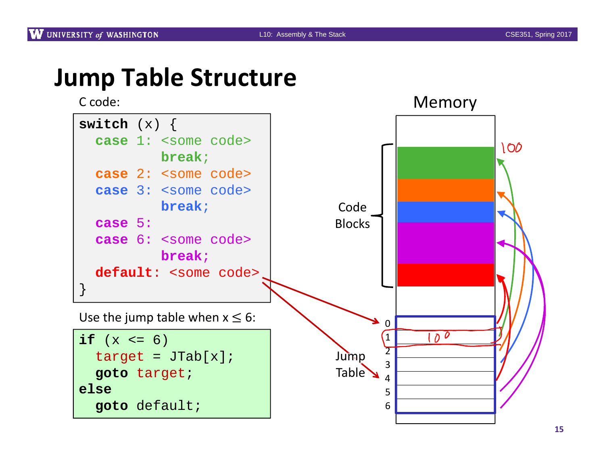#### **Jump Table Structure**

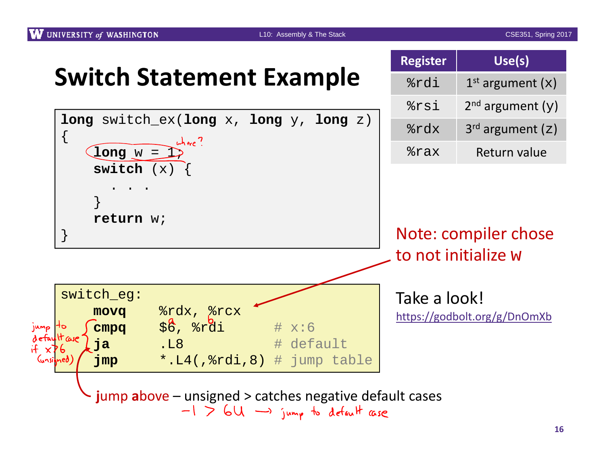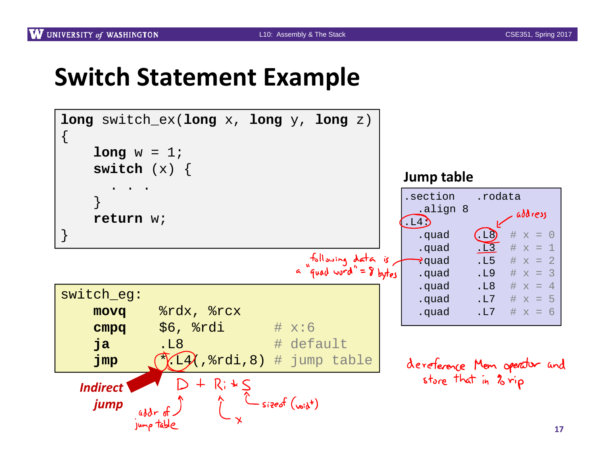#### **Switch Statement Example**



**17**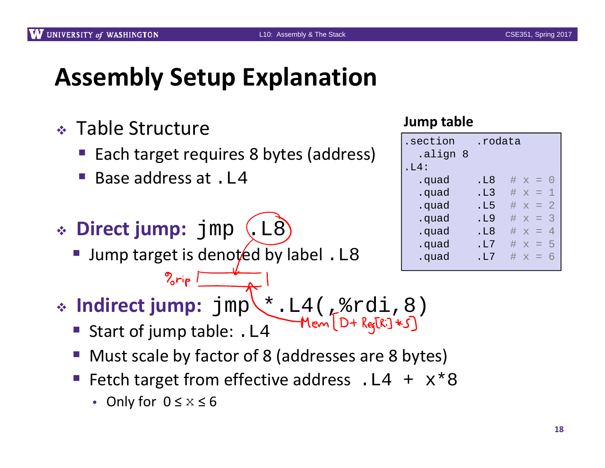### **Assembly Setup Explanation**

- Table Structure
	- Each target requires 8 bytes (address)
	- Base address at . L4
- $\cdot$  **Direct jump:** jmp (L8

 $2$  $ri_{P}$ 

**Jump target is denoted by label.** L8

#### **Jump table**

| .section<br>align 8. | .rodata |            |  |
|----------------------|---------|------------|--|
| . $L4$ :             |         |            |  |
| .quad                | . L8    | # $x = 0$  |  |
| .quad                | .L3     | # $x = 1$  |  |
| .quad                | .L5     | $\# x = 2$ |  |
| .quad                | .L9     | # $x = 3$  |  |
| .quad                | .L8     | $\# x =$   |  |
| .quad                | . T.7   | # $x = 5$  |  |
| .quad                | . T.7   | $# x = 6$  |  |
|                      |         |            |  |

- **Indirect jump:** jmp \*.L4(,%rdi,8)
	- Start of jump table: . L4
	- **Must scale by factor of 8 (addresses are 8 bytes)**
	- Fetch target from effective address .  $L4 + x*8$ 
		- Only for 0 ≤ <sup>x</sup> <sup>≤</sup>6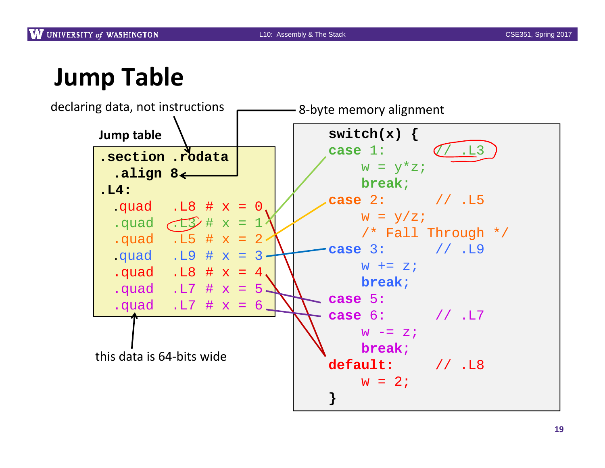# **Jump Table**

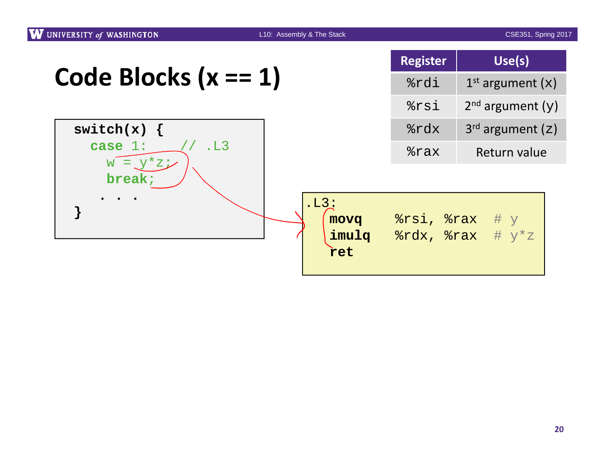|                                   | <b>Register</b>   | Use(s)                                                                   |  |
|-----------------------------------|-------------------|--------------------------------------------------------------------------|--|
| Code Blocks $(x == 1)$            | %rdi              | $1st$ argument (x)                                                       |  |
|                                   | %rsi              | $2nd$ argument (y)                                                       |  |
| switch $(x) \{$                   | $rac{2}{x}$       | $3rd$ argument (z)                                                       |  |
| case $1$ :<br>.L3<br>$W = y^*z_i$ | $\frac{2}{3}$ rax | Return value                                                             |  |
| break;                            |                   |                                                                          |  |
| .L3:<br>movq<br>ret               | imulg             | $8rsi$ , $8rax$ # $y$<br>$\texttt{gradx, }$ $\texttt{max}$ # $y \cdot z$ |  |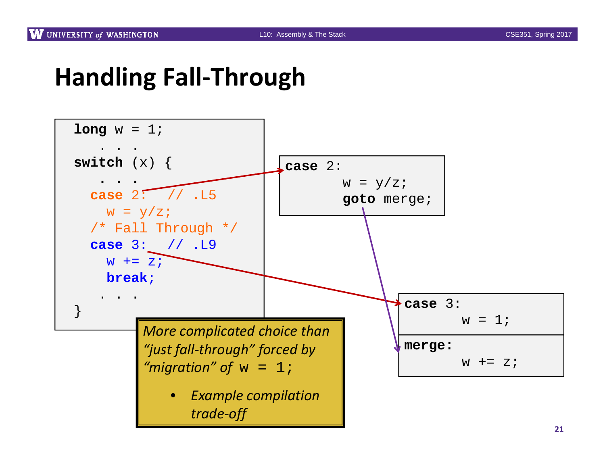#### **Handling Fall‐Through**

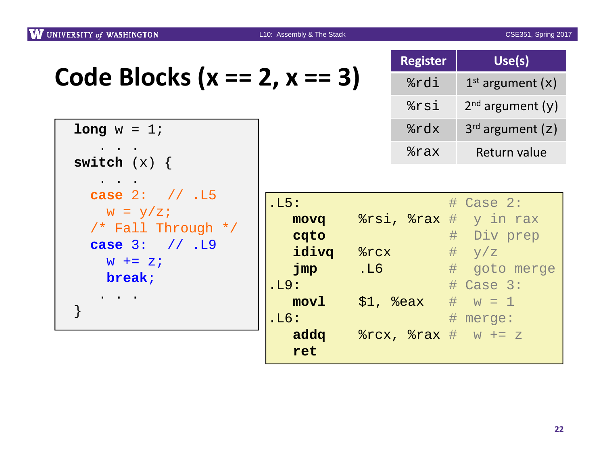| UNIVERSITY of WASHINGTON                                                                                        | L10: Assembly & The Stack                                                                   |                   | <b>CSE351, Spring 2017</b>                                                                                                        |
|-----------------------------------------------------------------------------------------------------------------|---------------------------------------------------------------------------------------------|-------------------|-----------------------------------------------------------------------------------------------------------------------------------|
|                                                                                                                 |                                                                                             | <b>Register</b>   | Use(s)                                                                                                                            |
| Code Blocks ( $x == 2$ , $x == 3$ )                                                                             |                                                                                             | %rdi              | $1st$ argument $(x)$                                                                                                              |
|                                                                                                                 |                                                                                             | %rsi              | $2nd$ argument (y)                                                                                                                |
| $long w = 1;$                                                                                                   |                                                                                             | %rdx              | $3^{rd}$ argument $(z)$                                                                                                           |
| switch $(x) \{$                                                                                                 |                                                                                             | $\frac{1}{2}$ rax | Return value                                                                                                                      |
| <b>case</b> $2:$ // .15<br>$W = y/z;$<br>/* Fall Through */<br><b>case</b> $3: // L9$<br>$W$ += $Z$ ;<br>break; | .L5:<br>movq<br>cqto<br>idivq<br>$8$ $rcx$<br>$\mathbf{Jmp}$<br>.L6<br>.L9:<br>mov1<br>.L6: | $$1,$ $$eax$      | #<br>Case $2$ :<br>$s$ rsi, $s$ rax $\#$ y in rax<br># Div prep<br># y/z<br># goto merge<br>$\#$ Case 3:<br># $w = 1$<br># merge: |
|                                                                                                                 | ret                                                                                         |                   |                                                                                                                                   |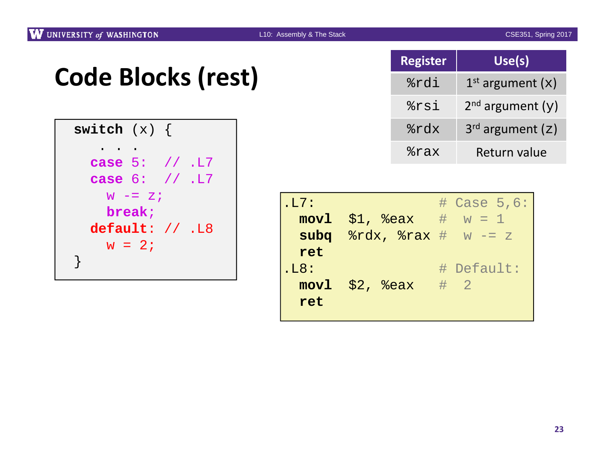## **Code Blocks (rest)**

```
switch (x) {
   . . .
  case 5: // .L7
  case 6: // .L7
    w -= z;
    break;
 default: // .L8
  w = 2i}
```

| <b>Register</b> | Use(s)                |
|-----------------|-----------------------|
| %rdi            | $1st$ argument (x)    |
| %rsi            | $2^{nd}$ argument (y) |
| %rdx            | $3^{rd}$ argument (z) |
| %rax            | Return value          |

| .L7: |                                               | $\#$ Case 5,6: |
|------|-----------------------------------------------|----------------|
|      | $mov1$ \$1, $s$ eax # $w = 1$                 |                |
|      | subq $\texttt{idx}, \texttt{idx}$ $\#$ w -= z |                |
| ret  |                                               |                |
| .L8: |                                               | # Default:     |
|      | movl \$2, %eax                                | $\#$ 2         |
| ret  |                                               |                |
|      |                                               |                |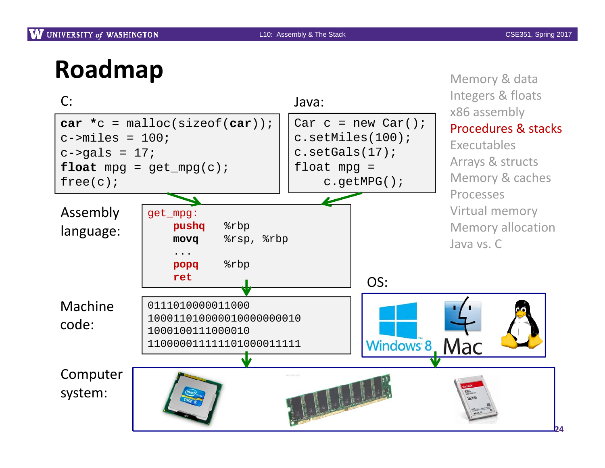# **Roadmap**

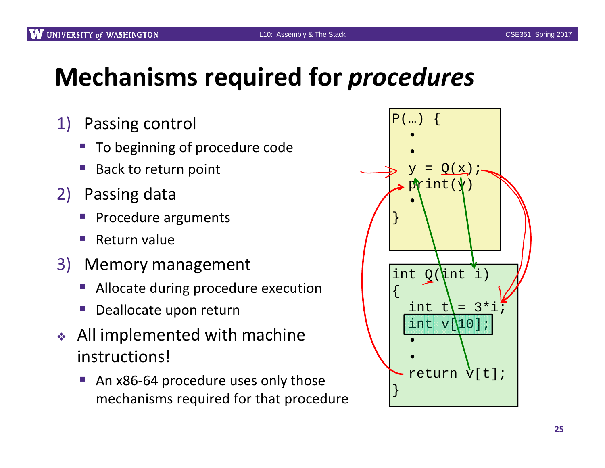# **Mechanisms required for** *procedures*

- 1) Passing control
	- **The Demanuist 1** To beginning of procedure code
	- **Back to return point**
- 2) Passing data
	- **Procedure arguments**
	- ■ Return value
- 3) Memory management
	- e<br>Se **Allocate during procedure execution**
	- Deallocate upon return
- All implemented with machine instructions!
	- An x86-64 procedure uses only those mechanisms required for that procedure

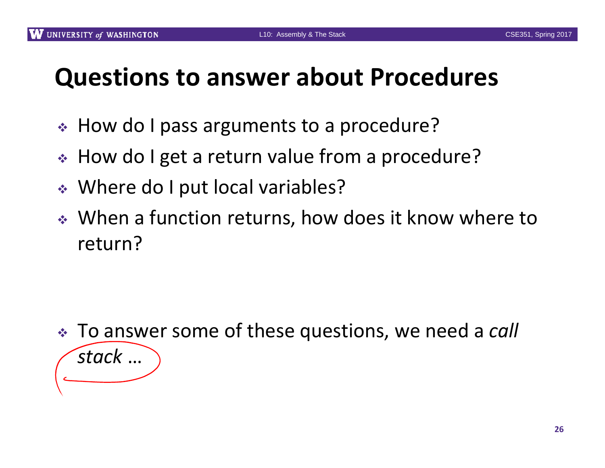#### **Questions to answer about Procedures**

- How do I pass arguments to <sup>a</sup> procedure?
- How do I get <sup>a</sup> return value from <sup>a</sup> procedure?
- Where do I put local variables?
- When <sup>a</sup> function returns, how does it know where to return?

 To answer some of these questions, we need <sup>a</sup> *call stack* …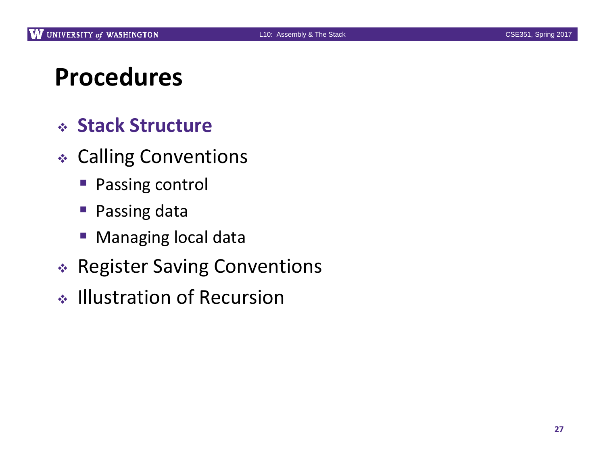### **Procedures**

#### **Stack Structure**

- Calling Conventions
	- **Passing control**
	- Passing data
	- $\mathbb{R}^n$ Managing local data
- Register Saving Conventions
- ↓ Illustration of Recursion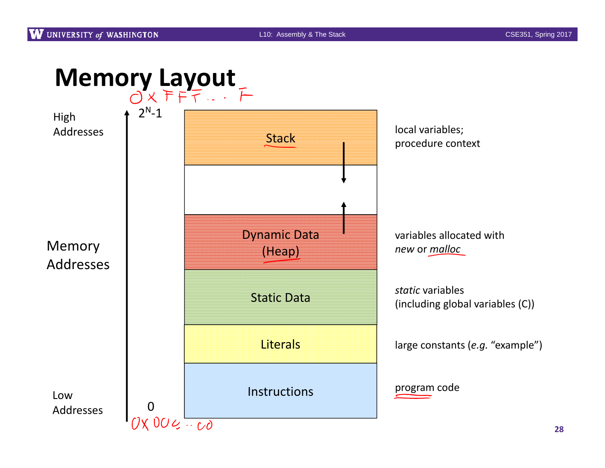

**28**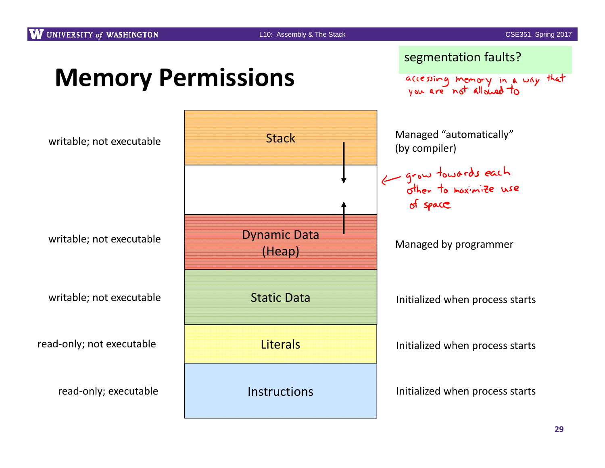**Memory Permissions**

segmentation faults?

accessing memory in a way that

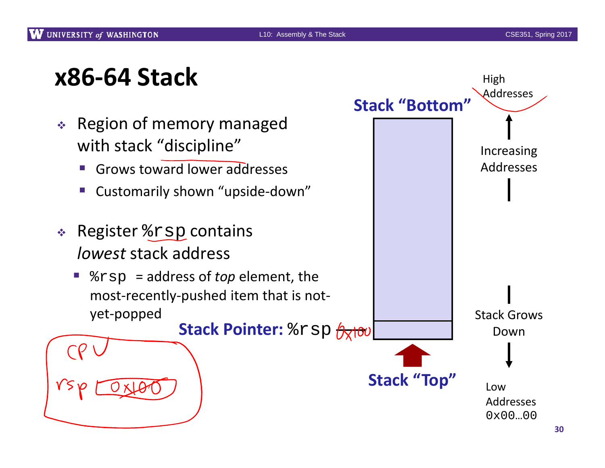High

Addresses

# **x86‐64 Stack**

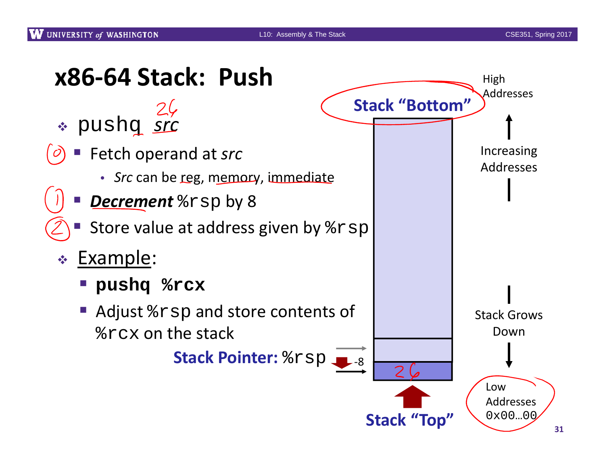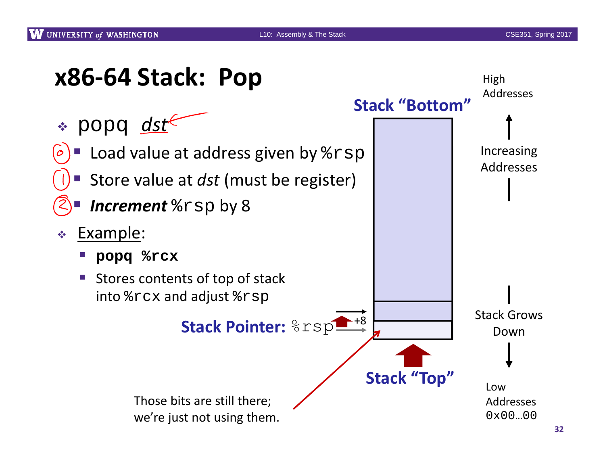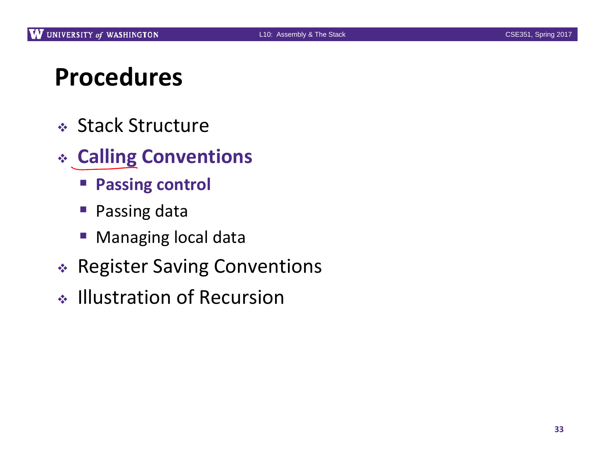### **Procedures**

- Stack Structure
- **Calling Conventions**
	- **Passing control**
	- Passing data
	- $\mathbb{R}^n$ Managing local data
- Register Saving Conventions
- ↓ Illustration of Recursion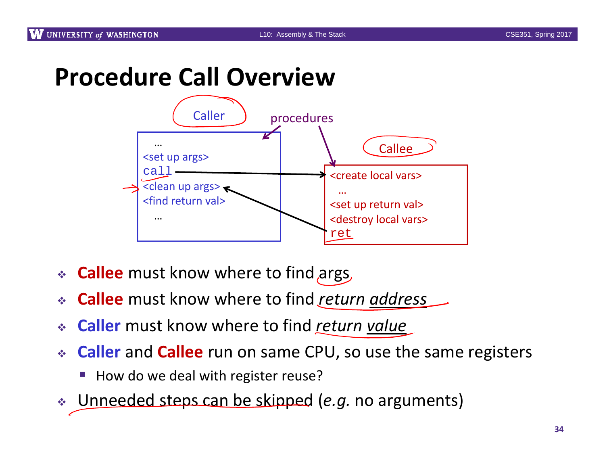#### **Procedure Call Overview**



- **Callee** must know where to find args
- **Callee** must know where to find *return address*
- **Caller** must know where to find *return value*
- **Caller** and **Callee** run on same CPU, so use the same registers
	- I. ■ How do we deal with register reuse?
- Unneeded steps can be skipped (*e.g.* no arguments)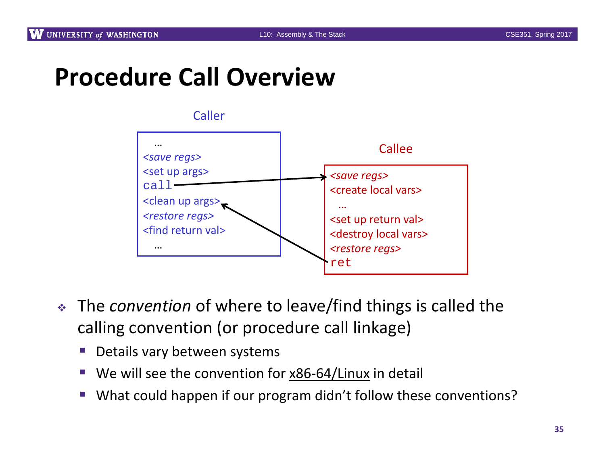## **Procedure Call Overview**



- The *convention* of where to leave/find things is called the calling convention (or procedure call linkage)
	- Details vary between systems
	- p. ■ We will see the convention for x86-64/Linux in detail
	- I. ■ What could happen if our program didn't follow these conventions?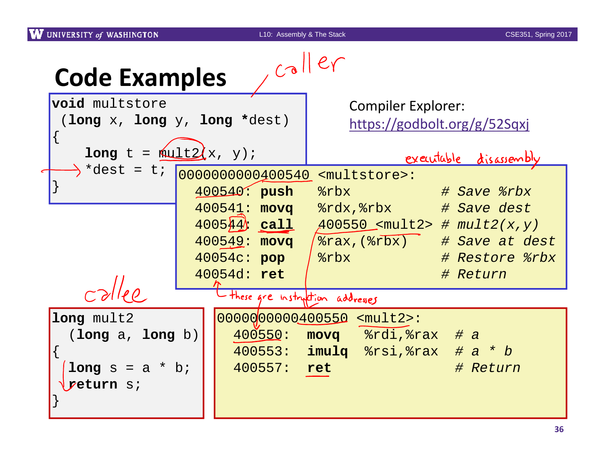| $,$ caller<br><b>Code Examples</b>   |  |                                                                                                                                                         |  |
|--------------------------------------|--|---------------------------------------------------------------------------------------------------------------------------------------------------------|--|
| void multstore                       |  | <b>Compiler Explorer:</b>                                                                                                                               |  |
| (long $x$ , long $y$ , long *dest)   |  | https://godbolt.org/g/52Sqxj                                                                                                                            |  |
| long $t = \sqrt{\frac{1+t}{x}}, y$ ; |  | executable disassembly                                                                                                                                  |  |
|                                      |  | $\rightarrow$ *dest = t; $\boxed{00000000000\underline{400540}}$ <multstore>:</multstore>                                                               |  |
|                                      |  | 400540: push<br>$s$ rbx<br># Save %rbx                                                                                                                  |  |
|                                      |  | 400541: movq<br>$\frac{3}{2}$ rdx, $\frac{3}{2}$ rbx # Save dest                                                                                        |  |
|                                      |  | $400544$ call<br>$A00550$ <mult2> # mult2(x,y)</mult2>                                                                                                  |  |
|                                      |  | $400549:$ movq<br>/%rax,(%rbx) # Save at dest                                                                                                           |  |
|                                      |  | 40054c: pop<br>strbx<br># Restore %rbx                                                                                                                  |  |
|                                      |  | 40054d: ret<br># Return                                                                                                                                 |  |
| $c$ dlee                             |  | these are instruction addresses                                                                                                                         |  |
| long mult2                           |  | 00000000000100550 <mult2>:</mult2>                                                                                                                      |  |
| (long a, long b)                     |  | 400550:<br>movq &rdi, &rax # a<br><b>Contract Contract Contract Contract Contract Contract Contract Contract Contract Contract Contract Contract Co</b> |  |
|                                      |  | $400553$ : imulq $8rsi,8rax$ # a * b                                                                                                                    |  |
| $long s = a * bi$                    |  | 400557: ret<br># Return                                                                                                                                 |  |
| yeturn si                            |  |                                                                                                                                                         |  |
|                                      |  |                                                                                                                                                         |  |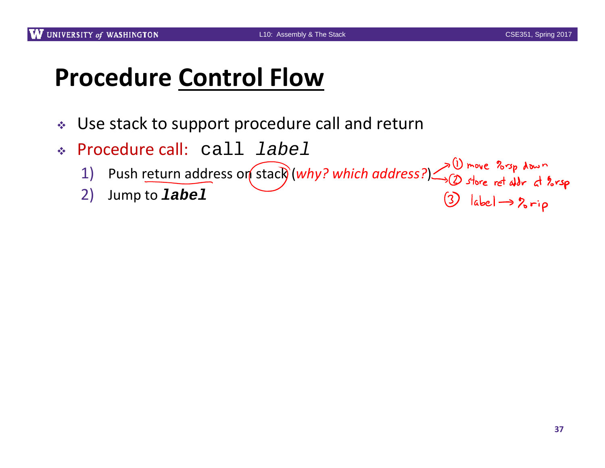$3$  label  $\rightarrow$   $2 \rightarrow p$ 

# **Procedure Control Flow**

- $\mathcal{L}_{\mathcal{S}}$  . Use stack to support procedure call and return
- Procedure call: call *label*
	- Fivicial Can.  $C_{2}+T_{2}+T_{3}+T_{4}+T_{5}+T_{6}+T_{7}+T_{8}+T_{9}+T_{9}+T_{10}+T_{11}+T_{12}+T_{13}+T_{14}+T_{15}+T_{16}+T_{17}+T_{18}+T_{19}+T_{10}+T_{11}+T_{12}+T_{13}+T_{14}+T_{15}+T_{16}+T_{17}+T_{18}+T_{19}+T_{10}+T_{11}+T_{12}+T_{13}+T_{14}+T_{15}+T$
	- 2) Jump to *label*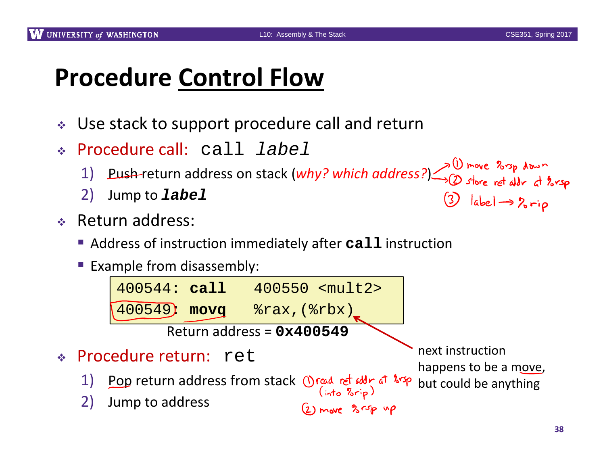$\bigcirc$  label  $\rightarrow$  2 rip

# **Procedure Control Flow**

- $\frac{1}{2}$ Use stack to support procedure call and return
- Procedure call: call *label*
	- 1) Push return address on stack (*why? which address?*) being the ret all r at longer 1)
	- 2) Jump to *label*
- Return address:
	- Address of instruction immediately after **call** instruction
	- **Example from disassembly:**

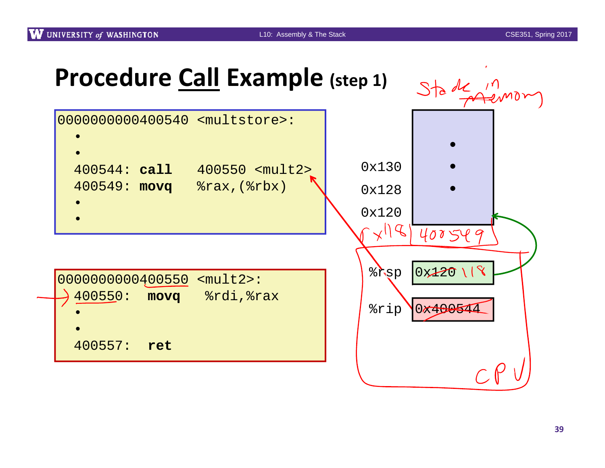## **Procedure Call Example (step 1)**



| $ 0000000000400550$ <mult2>:</mult2> |  |
|--------------------------------------|--|
| 400550:<br>movq                      |  |
|                                      |  |
|                                      |  |
| 400557:<br>ret                       |  |
|                                      |  |

%rsp 0x120 118 %rip 0x400544 $CP$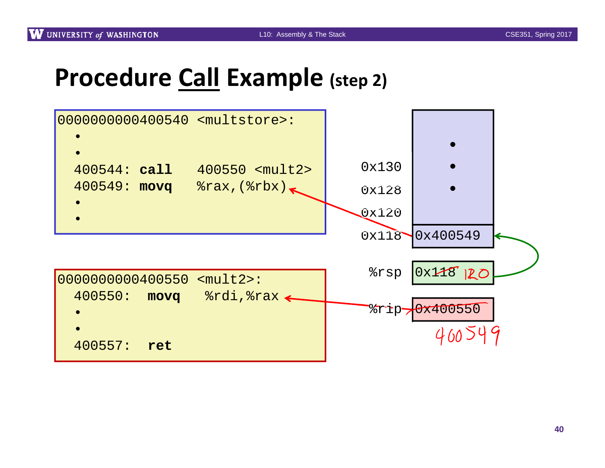#### **Procedure Call Example (step 2)**

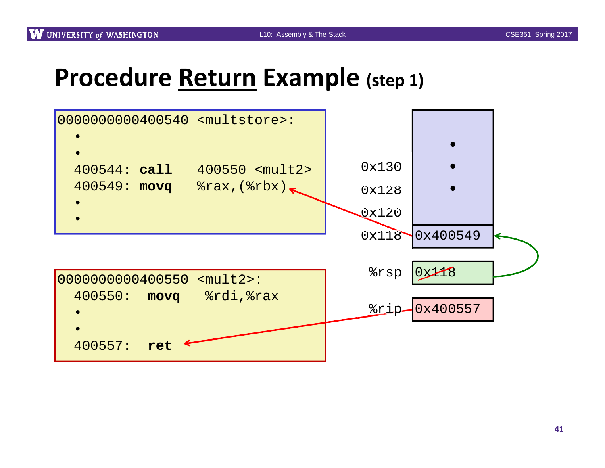#### **Procedure Return Example (step 1)**